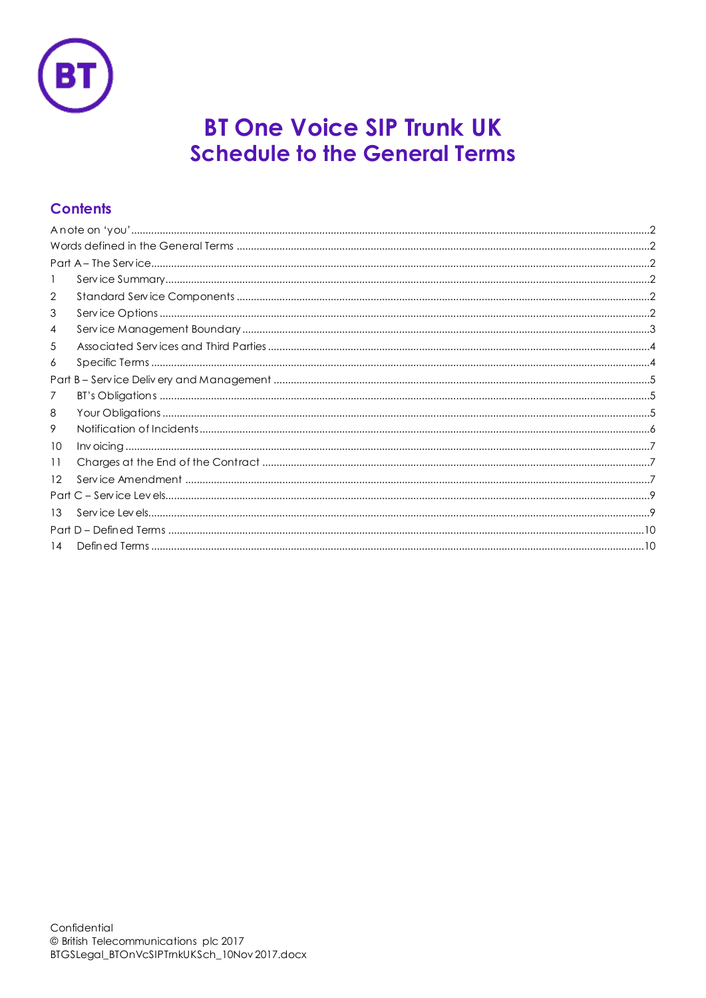

# **BT One Voice SIP Trunk UK Schedule to the General Terms**

# **Contents**

| 2  |  |  |
|----|--|--|
| 3  |  |  |
| 4  |  |  |
| 5  |  |  |
| 6  |  |  |
|    |  |  |
| 7  |  |  |
| 8  |  |  |
| 9  |  |  |
| 10 |  |  |
| 11 |  |  |
| 12 |  |  |
|    |  |  |
| 13 |  |  |
|    |  |  |
| 14 |  |  |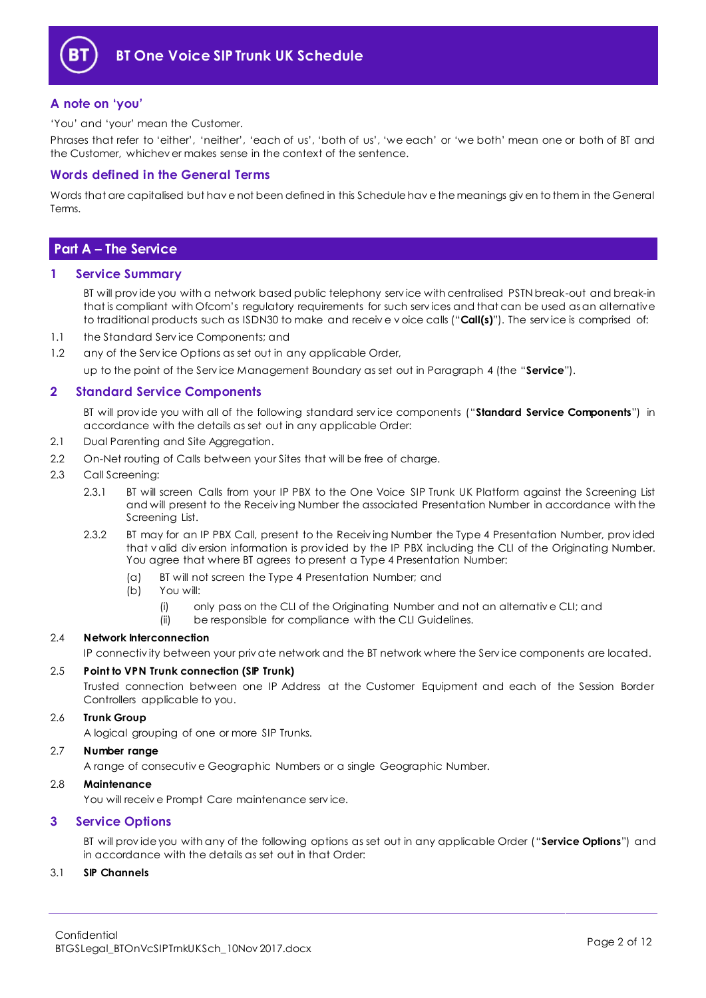

## <span id="page-1-0"></span>**A note on 'you'**

'You' and 'your' mean the Customer.

Phrases that refer to 'either', 'neither', 'each of us', 'both of us', 'we each' or 'we both' mean one or both of BT and the Customer, whichev er makes sense in the context of the sentence.

## <span id="page-1-1"></span>**Words defined in the General Terms**

Words that are capitalised but hav e not been defined in this Schedule hav e the meanings giv en to them in the General Terms.

# <span id="page-1-2"></span>**Part A – The Service**

#### <span id="page-1-3"></span>**1 Service Summary**

BT will prov ide you with a network based public telephony serv ice with centralised PSTN break-out and break-in that is compliant with Ofcom's regulatory requirements for such serv ices and that can be used as an alternative to traditional products such as ISDN30 to make and receiv e v oice calls ("**Call(s)**"). The serv ice is comprised of:

- 1.1 the Standard Serv ice Components; and
- 1.2 any of the Service Options as set out in any applicable Order,

up to the point of the Serv ice Management Boundary as set out in Paragraph [4](#page-2-0) (the "**Service**").

### <span id="page-1-4"></span>**2 Standard Service Components**

BT will prov ide you with all of the following standard serv ice components ("**Standard Service Components**") in accordance with the details as set out in any applicable Order:

- 2.1 Dual Parenting and Site Aggregation.
- 2.2 On-Net routing of Calls between your Sites that will be free of charge.
- <span id="page-1-6"></span>2.3 Call Screening:
	- 2.3.1 BT will screen Calls from your IP PBX to the One Voice SIP Trunk UK Platform against the Screening List and will present to the Receiv ing Number the associated Presentation Number in accordance with the Screening List.
	- 2.3.2 BT may for an IP PBX Call, present to the Receiv ing Number the Type 4 Presentation Number, prov ided that v alid div ersion information is prov ided by the IP PBX including the CLI of the Originating Number. You agree that where BT agrees to present a Type 4 Presentation Number:
		- (a) BT will not screen the Type 4 Presentation Number; and
		- (b) You will:
			- (i) only pass on the CLI of the Originating Number and not an alternativ e CLI; and
			- (ii) be responsible for compliance with the CLI Guidelines.

#### 2.4 **Network Interconnection**

IP connectiv ity between your priv ate network and the BT network where the Serv ice components are located.

#### 2.5 **Point to VPN Trunk connection (SIP Trunk)**

Trusted connection between one IP Address at the Customer Equipment and each of the Session Border Controllers applicable to you.

#### 2.6 **Trunk Group**

A logical grouping of one or more SIP Trunks.

#### 2.7 **Number range**

A range of consecutiv e Geographic Numbers or a single Geographic Number.

#### 2.8 **Maintenance**

You will receiv e Prompt Care maintenance serv ice.

### <span id="page-1-5"></span>**3 Service Options**

BT will prov ide you with any of the following options as set out in any applicable Order ("**Service Options**") and in accordance with the details as set out in that Order:

#### 3.1 **SIP Channels**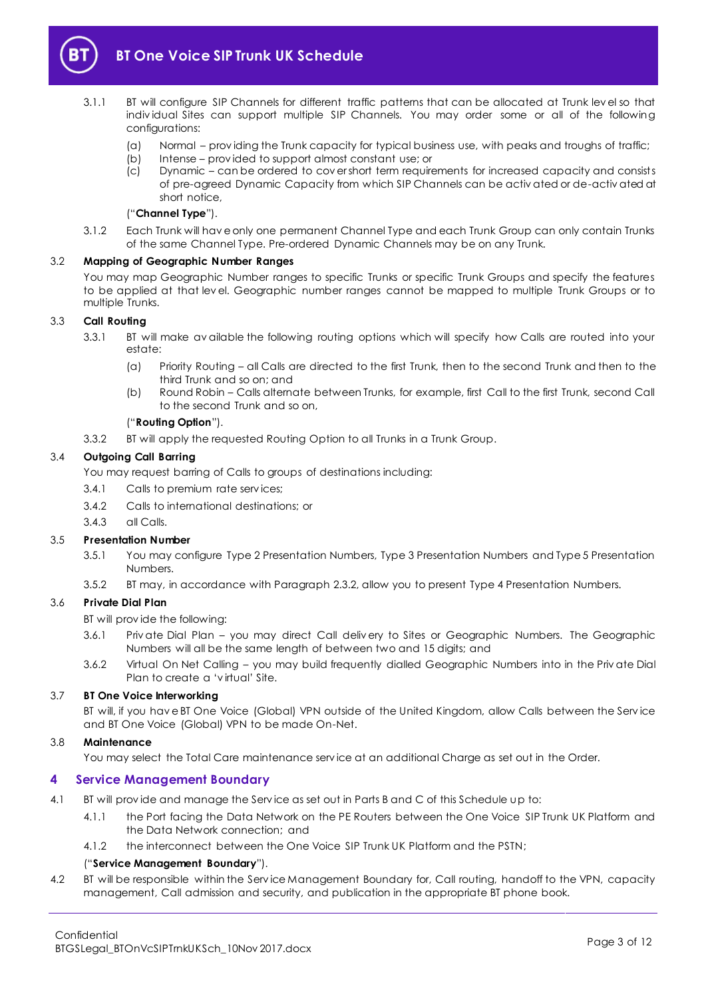

- <span id="page-2-1"></span>3.1.1 BT will configure SIP Channels for different traffic patterns that can be allocated at Trunk lev el so that indiv idual Sites can support multiple SIP Channels. You may order some or all of the following configurations:
	- (a) Normal prov iding the Trunk capacity for typical business use, with peaks and troughs of traffic;
	- (b) Intense prov ided to support almost constant use; or
	- (c) Dynamic can be ordered to cov er short term requirements for increased capacity and consists of pre-agreed Dynamic Capacity from which SIP Channels can be activ ated or de-activ ated at short notice,

#### ("**Channel Type**").

3.1.2 Each Trunk will hav e only one permanent Channel Type and each Trunk Group can only contain Trunks of the same Channel Type. Pre-ordered Dynamic Channels may be on any Trunk.

#### 3.2 **Mapping of Geographic Number Ranges**

You may map Geographic Number ranges to specific Trunks or specific Trunk Groups and specify the features to be applied at that lev el. Geographic number ranges cannot be mapped to multiple Trunk Groups or to multiple Trunks.

#### <span id="page-2-2"></span>3.3 **Call Routing**

- 3.3.1 BT will make av ailable the following routing options which will specify how Calls are routed into your estate:
	- (a) Priority Routing all Calls are directed to the first Trunk, then to the second Trunk and then to the third Trunk and so on; and
	- (b) Round Robin Calls alternate between Trunks, for example, first Call to the first Trunk, second Call to the second Trunk and so on,

#### ("**Routing Option**").

3.3.2 BT will apply the requested Routing Option to all Trunks in a Trunk Group.

#### 3.4 **Outgoing Call Barring**

You may request barring of Calls to groups of destinations including:

- 3.4.1 Calls to premium rate serv ices;
- 3.4.2 Calls to international destinations; or
- 3.4.3 all Calls.

#### 3.5 **Presentation Number**

- 3.5.1 You may configure Type 2 Presentation Numbers, Type 3 Presentation Numbers and Type 5 Presentation Numbers.
- 3.5.2 BT may, in accordance with Paragrap[h 2.3.2,](#page-1-6) allow you to present Type 4 Presentation Numbers.

### 3.6 **Private Dial Plan**

BT will prov ide the following:

- 3.6.1 Priv ate Dial Plan you may direct Call deliv ery to Sites or Geographic Numbers. The Geographic Numbers will all be the same length of between two and 15 digits; and
- 3.6.2 Virtual On Net Calling you may build frequently dialled Geographic Numbers into in the Priv ate Dial Plan to create a 'v irtual' Site.

#### 3.7 **BT One Voice Interworking**

BT will, if you hav e BT One Voice (Global) VPN outside of the United Kingdom, allow Calls between the Serv ice and BT One Voice (Global) VPN to be made On-Net.

#### 3.8 **Maintenance**

You may select the Total Care maintenance serv ice at an additional Charge as set out in the Order.

### <span id="page-2-0"></span>**4 Service Management Boundary**

- <span id="page-2-3"></span>4.1 BT will prov ide and manage the Serv ice as set out in Parts B and C of this Schedule up to:
	- 4.1.1 the Port facing the Data Network on the PE Routers between the One Voice SIP Trunk UK Platform and the Data Network connection; and
	- 4.1.2 the interconnect between the One Voice SIP Trunk UK Platform and the PSTN;

### ("**Service Management Boundary**").

4.2 BT will be responsible within the Serv ice Management Boundary for, Call routing, handoff to the VPN, capacity management, Call admission and security, and publication in the appropriate BT phone book.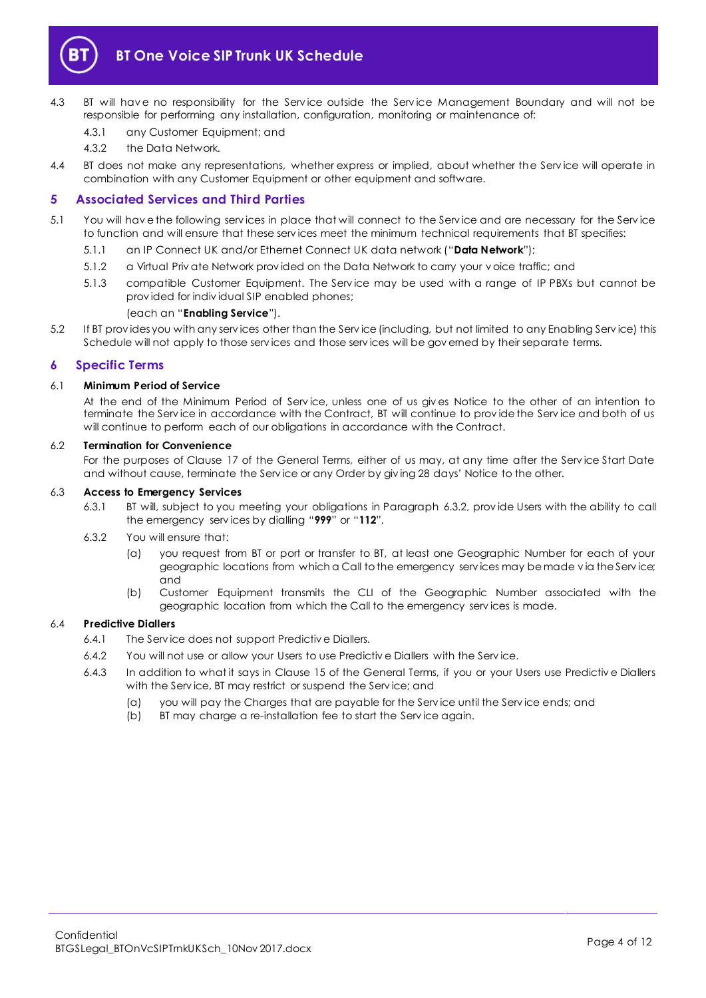

- 4.3 BT will have no responsibility for the Service outside the Service Management Boundary and will not be responsible for performing any installation, configuration, monitoring or maintenance of:
	- 4.3.1 any Customer Equipment; and
	- 4.3.2 the Data Network.
- 4.4 BT does not make any representations, whether express or implied, about whether the Serv ice will operate in combination with any Customer Equipment or other equipment and software.

### <span id="page-3-0"></span>**5 Associated Services and Third Parties**

- <span id="page-3-4"></span><span id="page-3-3"></span>5.1 You will hav e the following serv ices in place that will connect to the Serv ice and are necessary for the Serv ice to function and will ensure that these serv ices meet the minimum technical requirements that BT specifies:
	- 5.1.1 an IP Connect UK and/or Ethernet Connect UK data network ("**Data Network**");
	- 5.1.2 a Virtual Priv ate Network prov ided on the Data Network to carry your v oice traffic; and
	- 5.1.3 compatible Customer Equipment. The Serv ice may be used with a range of IP PBXs but cannot be prov ided for indiv idual SIP enabled phones;

#### (each an "**Enabling Service**").

5.2 If BT prov ides you with any serv ices other than the Serv ice (including, but not limited to any Enabling Serv ice) this Schedule will not apply to those serv ices and those serv ices will be gov erned by their separate terms.

#### <span id="page-3-1"></span>**6 Specific Terms**

#### 6.1 **Minimum Period of Service**

At the end of the Minimum Period of Serv ice, unless one of us giv es Notice to the other of an intention to terminate the Serv ice in accordance with the Contract, BT will continue to prov ide the Serv ice and both of us will continue to perform each of our obligations in accordance with the Contract.

#### 6.2 **Termination for Convenience**

For the purposes of Clause 17 of the General Terms, either of us may, at any time after the Serv ice Start Date and without cause, terminate the Serv ice or any Order by giv ing 28 days' Notice to the other.

#### 6.3 **Access to Emergency Services**

- 6.3.1 BT will, subject to you meeting your obligations in Paragraph [6.3.2,](#page-3-2) prov ide Users with the ability to call the emergency serv ices by dialling "**999**" or "**112**".
- <span id="page-3-2"></span>6.3.2 You will ensure that:
	- (a) you request from BT or port or transfer to BT, at least one Geographic Number for each of your geographic locations from which a Call to the emergency serv ices may be made v ia the Serv ice; and
	- (b) Customer Equipment transmits the CLI of the Geographic Number associated with the geographic location from which the Call to the emergency serv ices is made.

#### 6.4 **Predictive Diallers**

- 6.4.1 The Serv ice does not support Predictiv e Diallers.
- 6.4.2 You will not use or allow your Users to use Predictiv e Diallers with the Serv ice.
- 6.4.3 In addition to what it says in Clause 15 of the General Terms, if you or your Users use Predictiv e Diallers with the Serv ice, BT may restrict or suspend the Serv ice; and
	- (a) you will pay the Charges that are payable for the Serv ice until the Serv ice ends; and
	- (b) BT may charge a re-installation fee to start the Serv ice again.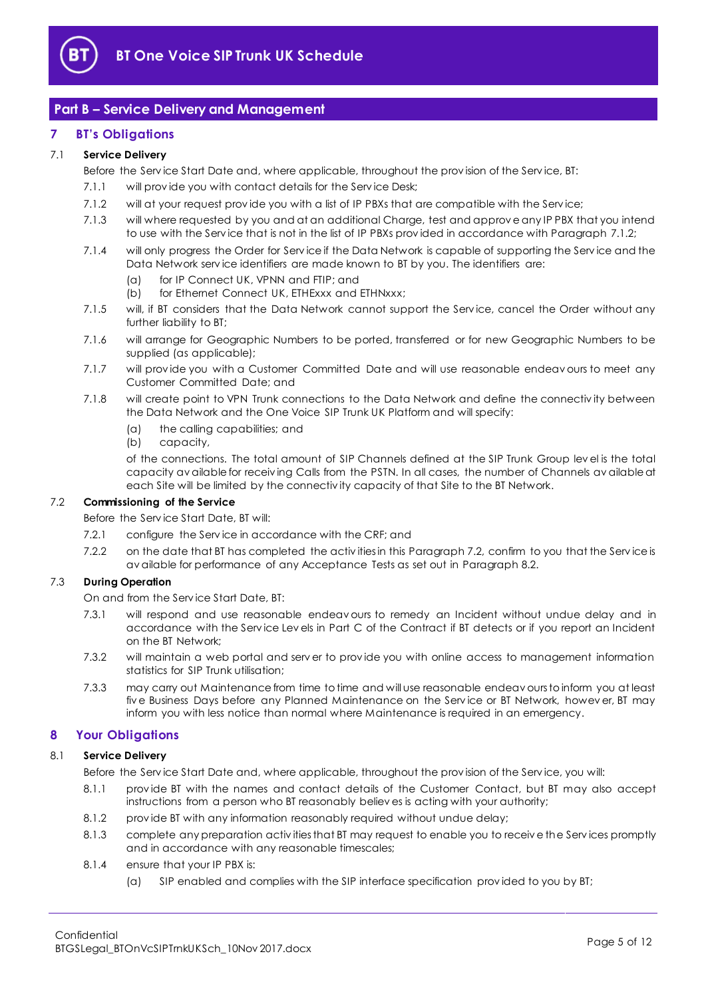

# <span id="page-4-0"></span>**Part B – Service Delivery and Management**

## <span id="page-4-1"></span>**7 BT's Obligations**

#### 7.1 **Service Delivery**

Before the Serv ice Start Date and, where applicable, throughout the prov ision of the Serv ice, BT:

- 7.1.1 will provide you with contact details for the Service Desk;
- <span id="page-4-3"></span>7.1.2 will at your request prov ide you with a list of IP PBXs that are compatible with the Serv ice;
- 7.1.3 will where requested by you and at an additional Charge, test and approv e any IP PBX that you intend to use with the Serv ice that is not in the list of IP PBXs prov ided in accordance with Paragrap[h 7.1.2;](#page-4-3)
- 7.1.4 will only progress the Order for Serv ice if the Data Network is capable of supporting the Serv ice and the Data Network serv ice identifiers are made known to BT by you. The identifiers are:
	- (a) for IP Connect UK, VPNN and FTIP; and
	- (b) for Ethernet Connect UK, ETHExxx and ETHNxxx;
- 7.1.5 will, if BT considers that the Data Network cannot support the Serv ice, cancel the Order without any further liability to BT;
- 7.1.6 will arrange for Geographic Numbers to be ported, transferred or for new Geographic Numbers to be supplied (as applicable);
- 7.1.7 will prov ide you with a Customer Committed Date and will use reasonable endeav ours to meet any Customer Committed Date; and
- 7.1.8 will create point to VPN Trunk connections to the Data Network and define the connectiv ity between the Data Network and the One Voice SIP Trunk UK Platform and will specify:
	- (a) the calling capabilities; and
	- (b) capacity,

of the connections. The total amount of SIP Channels defined at the SIP Trunk Group lev el is the total capacity av ailable for receiv ing Calls from the PSTN. In all cases, the number of Channels av ailable at each Site will be limited by the connectiv ity capacity of that Site to the BT Network.

#### <span id="page-4-4"></span>7.2 **Commissioning of the Service**

Before the Serv ice Start Date, BT will:

- 7.2.1 configure the Serv ice in accordance with the CRF; and
- 7.2.2 on the date that BT has completed the activ ities in this Paragrap[h 7.2,](#page-4-4) confirm to you that the Service is av ailable for performance of any Acceptance Tests as set out in Paragrap[h 8.2.](#page-5-1)

### <span id="page-4-6"></span><span id="page-4-5"></span>7.3 **During Operation**

On and from the Serv ice Start Date, BT:

- 7.3.1 will respond and use reasonable endeav ours to remedy an Incident without undue delay and in accordance with the Serv ice Lev els in Part C of the Contract if BT detects or if you report an Incident on the BT Network;
- 7.3.2 will maintain a web portal and serv er to prov ide you with online access to management information statistics for SIP Trunk utilisation;
- 7.3.3 may carry out Maintenance from time to time and will use reasonable endeav ours to inform you at least fiv e Business Days before any Planned Maintenance on the Serv ice or BT Network, howev er, BT may inform you with less notice than normal where Maintenance is required in an emergency.

# <span id="page-4-2"></span>**8 Your Obligations**

#### 8.1 **Service Delivery**

Before the Serv ice Start Date and, where applicable, throughout the prov ision of the Serv ice, you will:

- 8.1.1 prov ide BT with the names and contact details of the Customer Contact, but BT may also accept instructions from a person who BT reasonably believ es is acting with your authority;
- 8.1.2 prov ide BT with any information reasonably required without undue delay;
- 8.1.3 complete any preparation activ ities that BT may request to enable you to receiv e the Serv ices promptly and in accordance with any reasonable timescales;
- 8.1.4 ensure that your IP PBX is:
	- (a) SIP enabled and complies with the SIP interface specification prov ided to you by BT;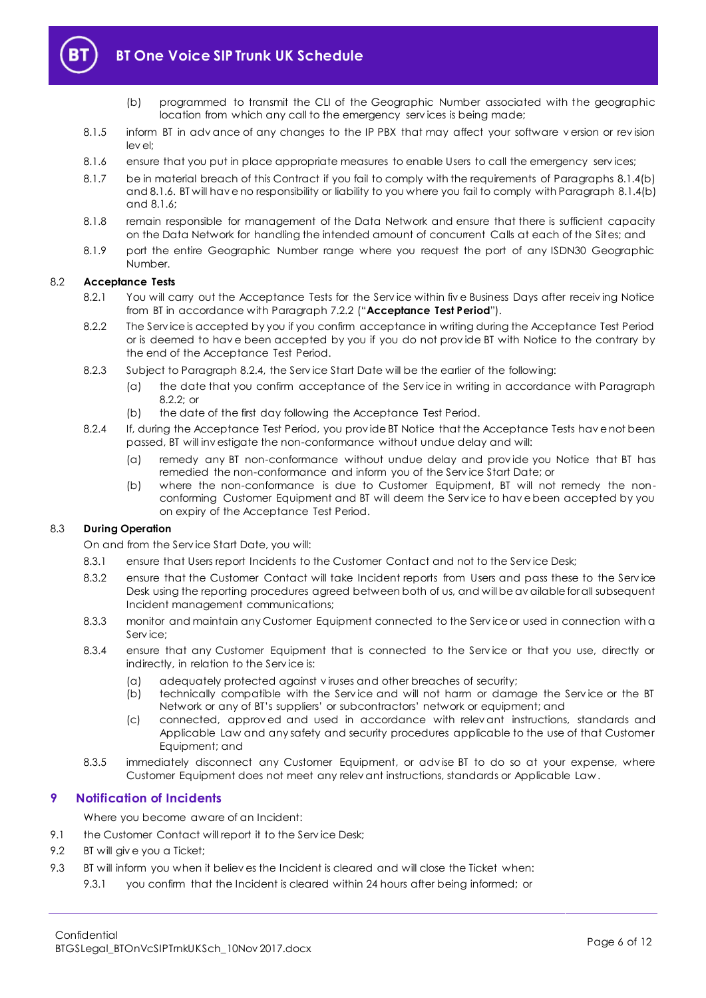

- (b) programmed to transmit the CLI of the Geographic Number associated with the geographic location from which any call to the emergency serv ices is being made;
- <span id="page-5-2"></span>8.1.5 inform BT in adv ance of any changes to the IP PBX that may affect your software v ersion or rev ision lev el;
- <span id="page-5-3"></span>8.1.6 ensure that you put in place appropriate measures to enable Users to call the emergency serv ices;
- 8.1.7 be in material breach of this Contract if you fail to comply with the requirements of Paragraphs [8.1.4\(b\)](#page-5-2) an[d 8.1.6.](#page-5-3) BT will hav e no responsibility or liability to you where you fail to comply with Paragrap[h 8.1.4\(b\)](#page-5-2) and  $8.1.6$ ;
- 8.1.8 remain responsible for management of the Data Network and ensure that there is sufficient capacity on the Data Network for handling the intended amount of concurrent Calls at each of the Sites; and
- 8.1.9 port the entire Geographic Number range where you request the port of any ISDN30 Geographic Number.

#### <span id="page-5-8"></span><span id="page-5-1"></span>8.2 **Acceptance Tests**

- 8.2.1 You will carry out the Acceptance Tests for the Service within five Business Days after receiving Notice from BT in accordance with Paragrap[h 7.2.2](#page-4-5) ("**Acceptance Test Period**").
- <span id="page-5-5"></span>8.2.2 The Serv ice is accepted by you if you confirm acceptance in writing during the Acceptance Test Period or is deemed to hav e been accepted by you if you do not prov ide BT with Notice to the contrary by the end of the Acceptance Test Period.
- 8.2.3 Subject to Paragraph [8.2.4,](#page-5-4) the Serv ice Start Date will be the earlier of the following:
	- (a) the date that you confirm acceptance of the Serv ice in writing in accordance with Paragraph  $8.2.2$ ; or
	- (b) the date of the first day following the Acceptance Test Period.
- <span id="page-5-4"></span>8.2.4 If, during the Acceptance Test Period, you prov ide BT Notice that the Acceptance Tests hav e not been passed, BT will inv estigate the non-conformance without undue delay and will:
	- (a) remedy any BT non-conformance without undue delay and prov ide you Notice that BT has remedied the non-conformance and inform you of the Serv ice Start Date; or
	- (b) where the non-conformance is due to Customer Equipment, BT will not remedy the nonconforming Customer Equipment and BT will deem the Serv ice to hav e been accepted by you on expiry of the Acceptance Test Period.

#### 8.3 **During Operation**

On and from the Serv ice Start Date, you will:

- 8.3.1 ensure that Users report Incidents to the Customer Contact and not to the Service Desk;
- 8.3.2 ensure that the Customer Contact will take Incident reports from Users and pass these to the Service Desk using the reporting procedures agreed between both of us, and will be av ailable for all subsequent Incident management communications;
- 8.3.3 monitor and maintain any Customer Equipment connected to the Serv ice or used in connection with a Serv ice;
- 8.3.4 ensure that any Customer Equipment that is connected to the Serv ice or that you use, directly or indirectly, in relation to the Serv ice is:
	- (a) adequately protected against v iruses and other breaches of security;
	- (b) technically compatible with the Serv ice and will not harm or damage the Serv ice or the BT Network or any of BT's suppliers' or subcontractors' network or equipment; and
	- (c) connected, approv ed and used in accordance with relev ant instructions, standards and Applicable Law and any safety and security procedures applicable to the use of that Customer Equipment; and
- 8.3.5 immediately disconnect any Customer Equipment, or adv ise BT to do so at your expense, where Customer Equipment does not meet any relev ant instructions, standards or Applicable Law .

### <span id="page-5-0"></span>**9 Notification of Incidents**

Where you become aware of an Incident:

- 9.1 the Customer Contact will report it to the Service Desk;
- <span id="page-5-6"></span>9.2 BT will giv e you a Ticket;
- <span id="page-5-7"></span>9.3 BT will inform you when it believ es the Incident is cleared and will close the Ticket when:
	- 9.3.1 you confirm that the Incident is cleared within 24 hours after being informed; or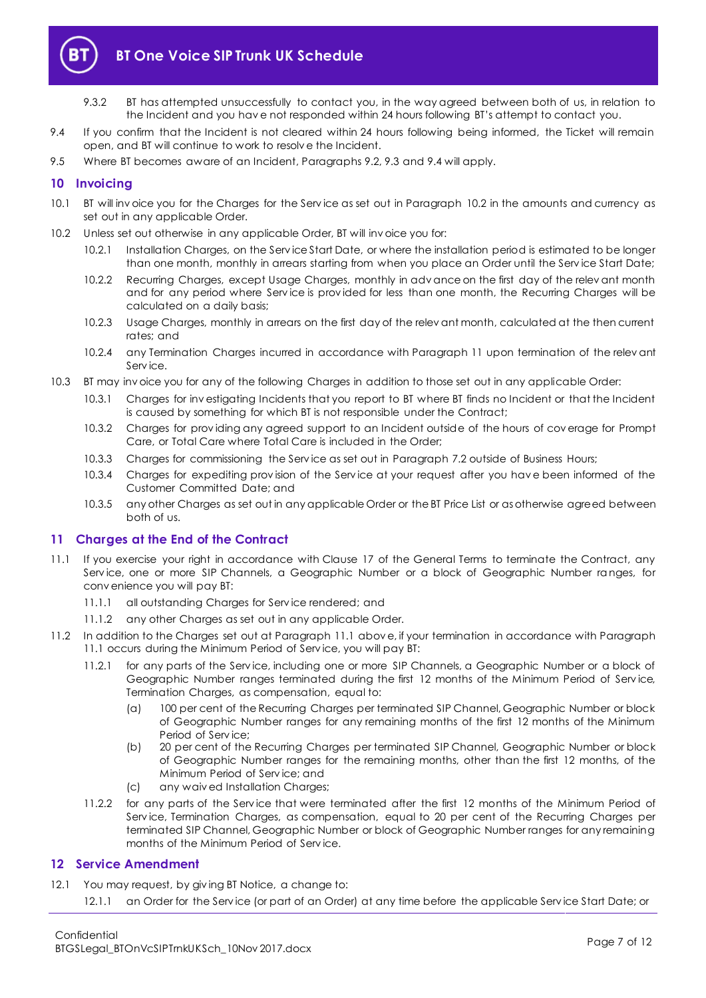

- 9.3.2 BT has attempted unsuccessfully to contact you, in the way agreed between both of us, in relation to the Incident and you hav e not responded within 24 hours following BT's attempt to contact you.
- <span id="page-6-3"></span>9.4 If you confirm that the Incident is not cleared within 24 hours following being informed, the Ticket will remain open, and BT will continue to work to resolv e the Incident.
- 9.5 Where BT becomes aware of an Incident, Paragraphs [9.2,](#page-5-6) [9.3](#page-5-7) and [9.4](#page-6-3) will apply.

## <span id="page-6-0"></span>**10 Invoicing**

- 10.1 BT will inv oice you for the Charges for the Serv ice as set out in Paragraph [10.2](#page-6-4) in the amounts and currency as set out in any applicable Order.
- <span id="page-6-4"></span>10.2 Unless set out otherwise in any applicable Order, BT will inv oice you for:
	- 10.2.1 Installation Charges, on the Serv ice Start Date, or where the installation period is estimated to be longer than one month, monthly in arrears starting from when you place an Order until the Serv ice Start Date;
	- 10.2.2 Recurring Charges, except Usage Charges, monthly in adv ance on the first day of the relev ant month and for any period where Serv ice is prov ided for less than one month, the Recurring Charges will be calculated on a daily basis;
	- 10.2.3 Usage Charges, monthly in arrears on the first day of the relev ant month, calculated at the then current rates; and
	- 10.2.4 any Termination Charges incurred in accordance with Paragraph [11](#page-6-1) upon termination of the relev ant Serv ice.
- 10.3 BT may inv oice you for any of the following Charges in addition to those set out in any applicable Order:
	- 10.3.1 Charges for inv estigating Incidents that you report to BT where BT finds no Incident or that the Incident is caused by something for which BT is not responsible under the Contract;
	- 10.3.2 Charges for prov iding any agreed support to an Incident outside of the hours of cov erage for Prompt Care, or Total Care where Total Care is included in the Order;
	- 10.3.3 Charges for commissioning the Serv ice as set out in Paragrap[h 7.2](#page-4-4) outside of Business Hours;
	- 10.3.4 Charges for expediting prov ision of the Serv ice at your request after you hav e been informed of the Customer Committed Date; and
	- 10.3.5 any other Charges as set out in any applicable Order or the BT Price List or as otherwise agreed between both of us.

### <span id="page-6-1"></span>**11 Charges at the End of the Contract**

- <span id="page-6-5"></span>11.1 If you exercise your right in accordance with Clause 17 of the General Terms to terminate the Contract, any Serv ice, one or more SIP Channels, a Geographic Number or a block of Geographic Number ranges, for conv enience you will pay BT:
	- 11.1.1 all outstanding Charges for Serv ice rendered; and
	- 11.1.2 any other Charges as set out in any applicable Order.
- 11.2 In addition to the Charges set out at Paragraph [11.1](#page-6-5) abov e, if your termination in accordance with Paragraph [11.1](#page-6-5) occurs during the Minimum Period of Serv ice, you will pay BT:
	- 11.2.1 for any parts of the Serv ice, including one or more SIP Channels, a Geographic Number or a block of Geographic Number ranges terminated during the first 12 months of the Minimum Period of Serv ice, Termination Charges, as compensation, equal to:
		- (a) 100 per cent of the Recurring Charges per terminated SIP Channel, Geographic Number or block of Geographic Number ranges for any remaining months of the first 12 months of the Minimum Period of Serv ice;
		- (b) 20 per cent of the Recurring Charges per terminated SIP Channel, Geographic Number or block of Geographic Number ranges for the remaining months, other than the first 12 months, of the Minimum Period of Serv ice; and
		- (c) any waiv ed Installation Charges;
	- 11.2.2 for any parts of the Serv ice that were terminated after the first 12 months of the Minimum Period of Service, Termination Charges, as compensation, equal to 20 per cent of the Recurring Charges per terminated SIP Channel, Geographic Number or block of Geographic Number ranges for any remaining months of the Minimum Period of Serv ice.

### <span id="page-6-2"></span>**12 Service Amendment**

<span id="page-6-6"></span>12.1 You may request, by giving BT Notice, a change to: 12.1.1 an Order for the Serv ice (or part of an Order) at any time before the applicable Serv ice Start Date; or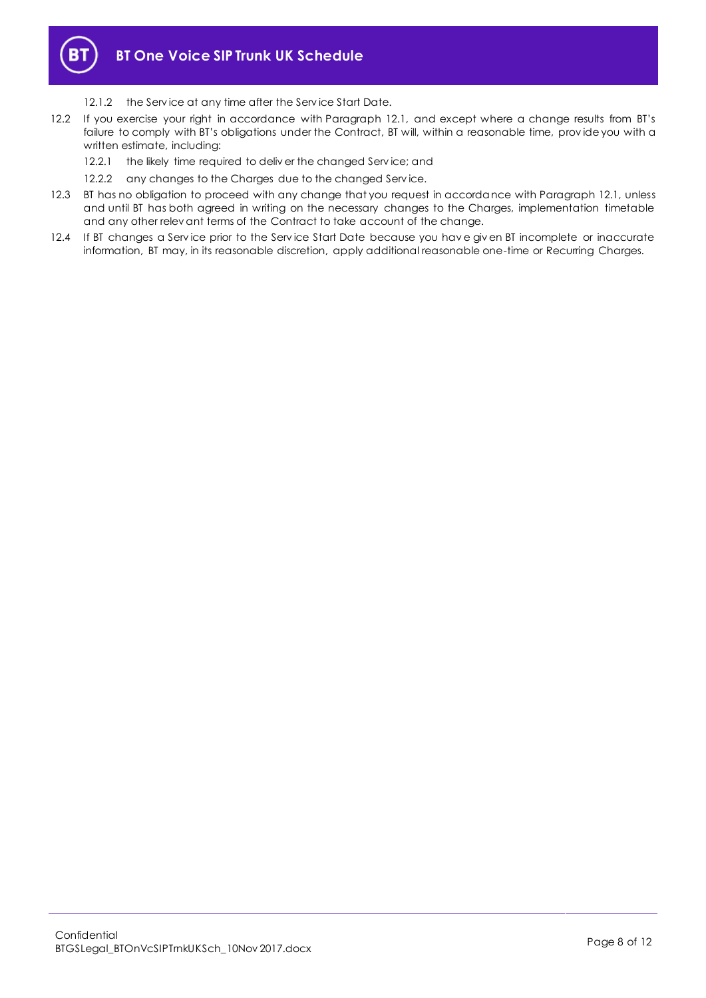

- 12.1.2 the Service at any time after the Service Start Date.
- 12.2 If you exercise your right in accordance with Paragraph [12.1](#page-6-6), and except where a change results from BT's failure to comply with BT's obligations under the Contract, BT will, within a reasonable time, prov ide you with a written estimate, including:
	- 12.2.1 the likely time required to deliver the changed Service; and
	- 12.2.2 any changes to the Charges due to the changed Service.
- 12.3 BT has no obligation to proceed with any change that you request in accordance with Paragraph [12.1,](#page-6-6) unless and until BT has both agreed in writing on the necessary changes to the Charges, implementation timetable and any other relev ant terms of the Contract to take account of the change.
- 12.4 If BT changes a Serv ice prior to the Serv ice Start Date because you hav e giv en BT incomplete or inaccurate information, BT may, in its reasonable discretion, apply additional reasonable one-time or Recurring Charges.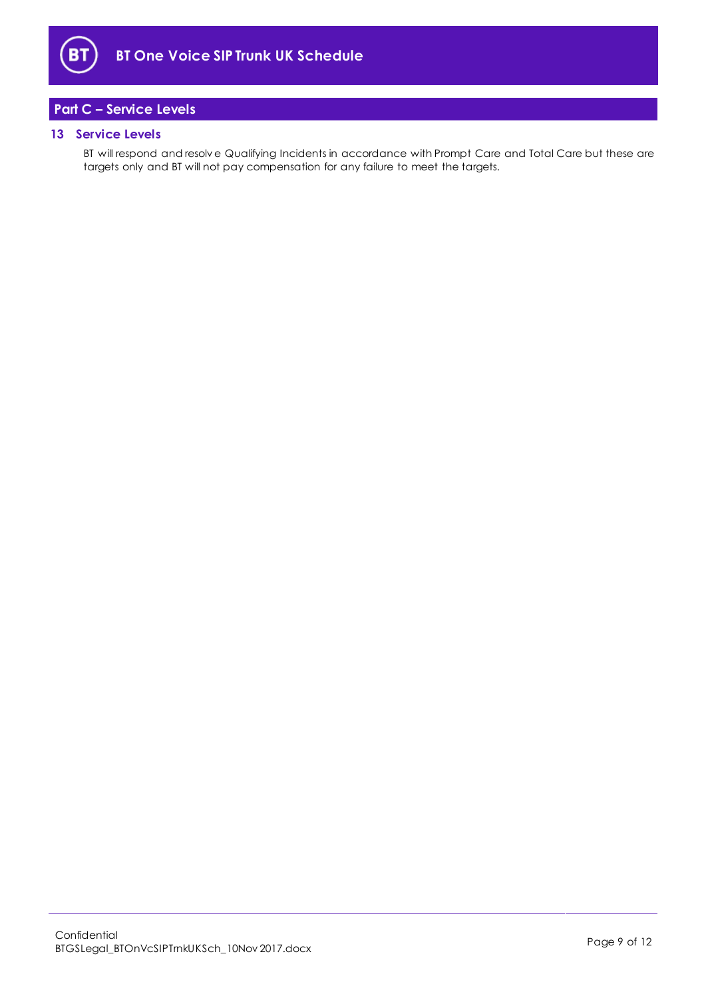

# <span id="page-8-0"></span>**Part C – Service Levels**

#### <span id="page-8-1"></span>**13 Service Levels**

BT will respond and resolv e Qualifying Incidents in accordance with Prompt Care and Total Care but these are targets only and BT will not pay compensation for any failure to meet the targets.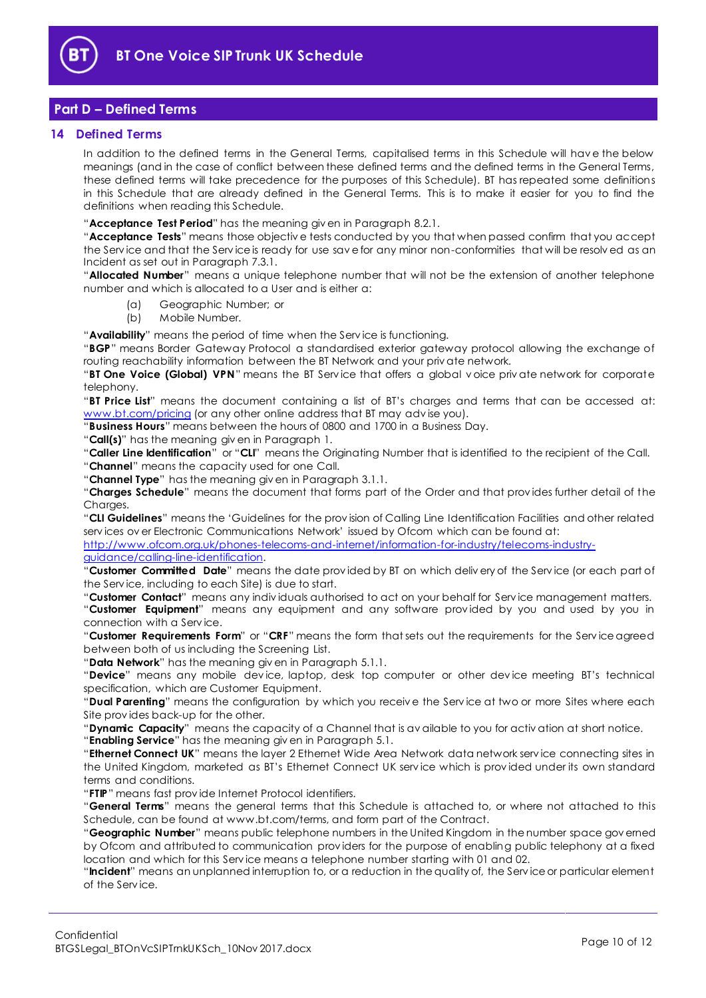

# <span id="page-9-0"></span>**Part D – Defined Terms**

#### <span id="page-9-1"></span>**14 Defined Terms**

In addition to the defined terms in the General Terms, capitalised terms in this Schedule will hav e the below meanings (and in the case of conflict between these defined terms and the defined terms in the General Terms, these defined terms will take precedence for the purposes of this Schedule). BT has repeated some definitions in this Schedule that are already defined in the General Terms. This is to make it easier for you to find the definitions when reading this Schedule.

"**Acceptance Test Period**" has the meaning giv en in Paragrap[h 8.2.1.](#page-5-8)

"**Acceptance Tests**" means those objectiv e tests conducted by you that when passed confirm that you accept the Serv ice and that the Serv ice is ready for use sav e for any minor non-conformities that will be resolv ed as an Incident as set out in Paragraph [7.3.1.](#page-4-6)

"**Allocated Number**" means a unique telephone number that will not be the extension of another telephone number and which is allocated to a User and is either a:

- (a) Geographic Number; or
- (b) Mobile Number.

"**Availability**" means the period of time when the Serv ice is functioning.

"**BGP**" means Border Gateway Protocol a standardised exterior gateway protocol allowing the exchange of routing reachability information between the BT Network and your priv ate network.

"**BT One Voice (Global) VPN**" means the BT Serv ice that offers a global v oice priv ate network for corporate telephony.

"**BT Price List**" means the document containing a list of BT's charges and terms that can be accessed at: [www.bt.com/pricing](http://www.bt.com/pricing) (or any other online address that BT may advise you).

"**Business Hours**" means between the hours of 0800 and 1700 in a Business Day.

"**Call(s)**" has the meaning giv en in Paragrap[h 1.](#page-1-3)

"**Caller Line Identification**" or "**CLI**" means the Originating Number that is identified to the recipient of the Call. "**Channel**" means the capacity used for one Call.

"**Channel Type**" has the meaning giv en in Paragrap[h 3.1.1.](#page-2-1)

"**Charges Schedule**" means the document that forms part of the Order and that prov ides further detail of the Charges.

"**CLI Guidelines**" means the 'Guidelines for the prov ision of Calling Line Identification Facilities and other related serv ices ov er Electronic Communications Network' issued by Ofcom which can be found at:

[http://www.ofcom.org.uk/phones-telecoms-and-internet/information-for-industry/telecoms-industry](http://www.ofcom.org.uk/phones-telecoms-and-internet/information-for-industry/telecoms-industry-guidance/calling-line-identification)[guidance/calling-line-identification.](http://www.ofcom.org.uk/phones-telecoms-and-internet/information-for-industry/telecoms-industry-guidance/calling-line-identification)

"**Customer Committed Date**" means the date prov ided by BT on which deliv ery of the Serv ice (or each part of the Serv ice, including to each Site) is due to start.

"**Customer Contact**" means any indiv iduals authorised to act on your behalf for Serv ice management matters. "**Customer Equipment**" means any equipment and any software prov ided by you and used by you in connection with a Serv ice.

"**Customer Requirements Form**" or "**CRF**" means the form that sets out the requirements for the Serv ice agreed between both of us including the Screening List.

"**Data Network**" has the meaning giv en in Paragraph [5.1.1.](#page-3-3)

"**Device**" means any mobile dev ice, laptop, desk top computer or other dev ice meeting BT's technical specification, which are Customer Equipment.

"**Dual Parenting**" means the configuration by which you receiv e the Serv ice at two or more Sites where each Site prov ides back-up for the other.

"**Dynamic Capacity**" means the capacity of a Channel that is av ailable to you for activ ation at short notice.

"**Enabling Service**" has the meaning giv en in Paragrap[h 5.1.](#page-3-4)

"**Ethernet Connect UK**" means the layer 2 Ethernet Wide Area Network data network serv ice connecting sites in the United Kingdom, marketed as BT's Ethernet Connect UK serv ice which is prov ided under its own standard terms and conditions.

"**FTIP**" means fast prov ide Internet Protocol identifiers.

"**General Terms**" means the general terms that this Schedule is attached to, or where not attached to this Schedule, can be found at www.bt.com/terms, and form part of the Contract.

"**Geographic Number**" means public telephone numbers in the United Kingdom in the number space gov erned by Ofcom and attributed to communication prov iders for the purpose of enabling public telephony at a fixed location and which for this Serv ice means a telephone number starting with 01 and 02.

"**Incident**" means an unplanned interruption to, or a reduction in the quality of, the Serv ice or particular element of the Serv ice.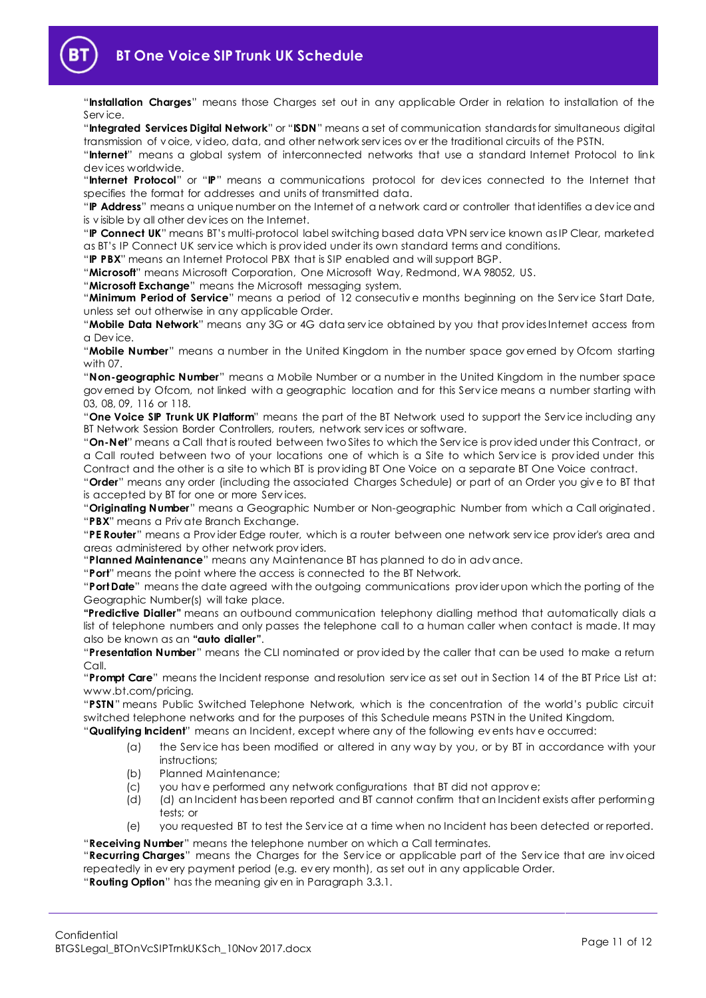

"**Installation Charges**" means those Charges set out in any applicable Order in relation to installation of the Serv ice.

"**Integrated Services Digital Network**" or "**ISDN**" means a set of communication standards for simultaneous digital transmission of v oice, v ideo, data, and other network serv ices ov er the traditional circuits of the PSTN.

"**Internet**" means a global system of interconnected networks that use a standard Internet Protocol to link dev ices worldwide.

"**Internet Protocol**" or "**IP**" means a communications protocol for dev ices connected to the Internet that specifies the format for addresses and units of transmitted data.

"**IP Address**" means a unique number on the Internet of a network card or controller that identifies a dev ice and is v isible by all other dev ices on the Internet.

"**IP Connect UK**" means BT's multi-protocol label switching based data VPN serv ice known as IP Clear, marketed as BT's IP Connect UK serv ice which is prov ided under its own standard terms and conditions.

"**IP PBX**" means an Internet Protocol PBX that is SIP enabled and will support BGP.

"**Microsoft**" means Microsoft Corporation, One Microsoft Way, Redmond, WA 98052, US.

"**Microsoft Exchange**" means the Microsoft messaging system.

"**Minimum Period of Service**" means a period of 12 consecutiv e months beginning on the Serv ice Start Date, unless set out otherwise in any applicable Order.

"**Mobile Data Network**" means any 3G or 4G data serv ice obtained by you that prov ides Internet access from a Dev ice.

"**Mobile Number**" means a number in the United Kingdom in the number space gov erned by Ofcom starting with 07.

"**Non-geographic Number**" means a Mobile Number or a number in the United Kingdom in the number space gov erned by Ofcom, not linked with a geographic location and for this Serv ice means a number starting with 03, 08, 09, 116 or 118.

"**One Voice SIP Trunk UK Platform**" means the part of the BT Network used to support the Serv ice including any BT Network Session Border Controllers, routers, network serv ices or software.

"**On-Net**" means a Call that is routed between two Sites to which the Serv ice is prov ided under this Contract, or a Call routed between two of your locations one of which is a Site to which Serv ice is prov ided under this Contract and the other is a site to which BT is prov iding BT One Voice on a separate BT One Voice contract.

"**Order**" means any order (including the associated Charges Schedule) or part of an Order you giv e to BT that is accepted by BT for one or more Serv ices.

"**Originating Number**" means a Geographic Number or Non-geographic Number from which a Call originated. "**PBX**" means a Priv ate Branch Exchange.

"**PE Router**" means a Prov ider Edge router, which is a router between one network serv ice prov ider's area and areas administered by other network prov iders.

"**Planned Maintenance**" means any Maintenance BT has planned to do in adv ance.

"**Port**" means the point where the access is connected to the BT Network.

"**Port Date**" means the date agreed with the outgoing communications prov ider upon which the porting of the Geographic Number(s) will take place.

**"Predictive Dialler"** means an outbound communication telephony dialling method that automatically dials a list of telephone numbers and only passes the telephone call to a human caller when contact is made. It may also be known as an **"auto dialler"**.

"**Presentation Number**" means the CLI nominated or prov ided by the caller that can be used to make a return Call.

"**Prompt Care**" means the Incident response and resolution serv ice as set out in Section 14 of the BT Price List at: www.bt.com/pricing.

"**PSTN**" means Public Switched Telephone Network, which is the concentration of the world's public circuit switched telephone networks and for the purposes of this Schedule means PSTN in the United Kingdom. "**Qualifying Incident**" means an Incident, except where any of the following ev ents hav e occurred:

- (a) the Serv ice has been modified or altered in any way by you, or by BT in accordance with your instructions;
- (b) Planned Maintenance;
- (c) you hav e performed any network configurations that BT did not approv e;
- (d) (d) an Incident has been reported and BT cannot confirm that an Incident exists after performing tests; or
- (e) you requested BT to test the Serv ice at a time when no Incident has been detected or reported.

"**Receiving Number**" means the telephone number on which a Call terminates.

"**Recurring Charges**" means the Charges for the Serv ice or applicable part of the Serv ice that are inv oiced repeatedly in ev ery payment period (e.g. ev ery month), as set out in any applicable Order.

"**Routing Option**" has the meaning giv en in Paragraph [3.3.1.](#page-2-2)